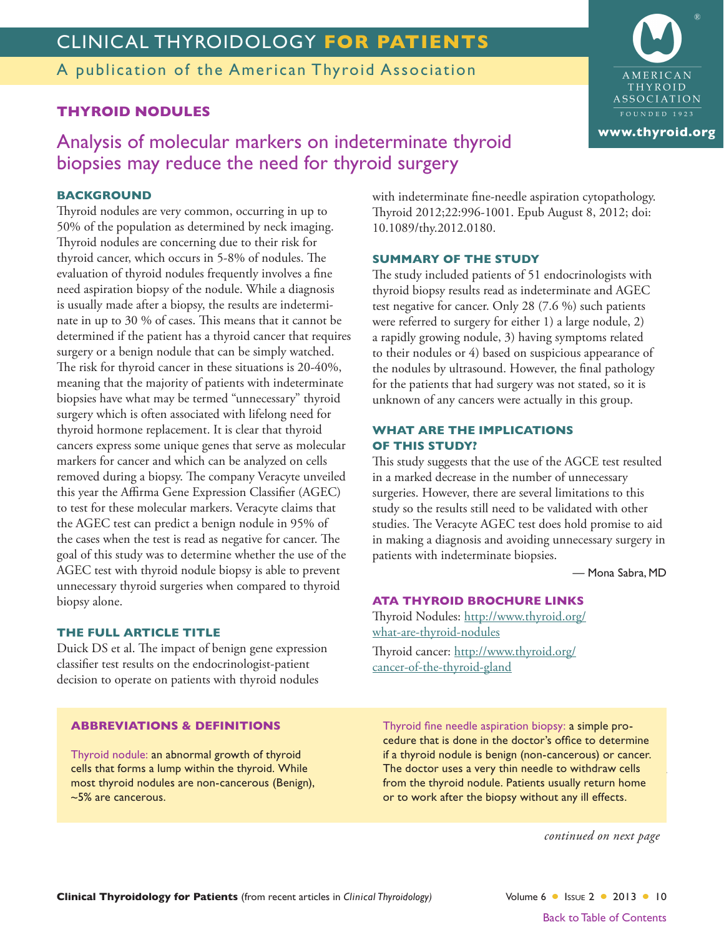# CLINICAL THYROIDOLOGY FOR PATIENTS

A publication of the American Thyroid Association

### **THYROID NODULES**

Analysis of molecular markers on indeterminate thyroid biopsies may reduce the need for thyroid surgery

### **BACKGROUND**

Thyroid nodules are very common, occurring in up to 50% of the population as determined by neck imaging. Thyroid nodules are concerning due to their risk for thyroid cancer, which occurs in 5-8% of nodules. The evaluation of thyroid nodules frequently involves a fine need aspiration biopsy of the nodule. While a diagnosis is usually made after a biopsy, the results are indeterminate in up to 30 % of cases. This means that it cannot be determined if the patient has a thyroid cancer that requires surgery or a benign nodule that can be simply watched. The risk for thyroid cancer in these situations is 20-40%, meaning that the majority of patients with indeterminate biopsies have what may be termed "unnecessary" thyroid surgery which is often associated with lifelong need for thyroid hormone replacement. It is clear that thyroid cancers express some unique genes that serve as molecular markers for cancer and which can be analyzed on cells removed during a biopsy. The company Veracyte unveiled this year the Affirma Gene Expression Classifier (AGEC) to test for these molecular markers. Veracyte claims that the AGEC test can predict a benign nodule in 95% of the cases when the test is read as negative for cancer. The goal of this study was to determine whether the use of the AGEC test with thyroid nodule biopsy is able to prevent unnecessary thyroid surgeries when compared to thyroid biopsy alone.

#### THE FULL ARTICLE TITLE

Duick DS et al. The impact of benign gene expression classifier test results on the endocrinologist-patient decision to operate on patients with thyroid nodules

with indeterminate fine-needle aspiration cytopathology. Thyroid 2012;22:996-1001. Epub August 8, 2012; doi: 10.1089/thy.2012.0180.

#### **SUMMARY OF THE STUDY**

The study included patients of 51 endocrinologists with thyroid biopsy results read as indeterminate and AGEC test negative for cancer. Only 28 (7.6 %) such patients were referred to surgery for either 1) a large nodule, 2) a rapidly growing nodule, 3) having symptoms related to their nodules or 4) based on suspicious appearance of the nodules by ultrasound. However, the final pathology for the patients that had surgery was not stated, so it is unknown of any cancers were actually in this group.

#### **WHAT ARE THE IMPLICATIONS OF THIS STUDY?**

This study suggests that the use of the AGCE test resulted in a marked decrease in the number of unnecessary surgeries. However, there are several limitations to this study so the results still need to be validated with other studies. The Veracyte AGEC test does hold promise to aid in making a diagnosis and avoiding unnecessary surgery in patients with indeterminate biopsies.

- Mona Sabra, MD

#### **ATA THYROID BROCHURE LINKS**

Thyroid Nodules: http://www.thyroid.org/ what-are-thyroid-nodules

Thyroid cancer: http://www.thyroid.org/ cancer-of-the-thyroid-gland

#### **ABBREVIATIONS & DEFINITIONS**

Thyroid nodule: an abnormal growth of thyroid cells that forms a lump within the thyroid. While most thyroid nodules are non-cancerous (Benign),  $~5\%$  are cancerous.

Thyroid fine needle aspiration biopsy: a simple procedure that is done in the doctor's office to determine if a thyroid nodule is benign (non-cancerous) or cancer. The doctor uses a very thin needle to withdraw cells from the thyroid nodule. Patients usually return home or to work after the biopsy without any ill effects.

continued on next page

Volume 6 | Issue 2 | 2013 | 10